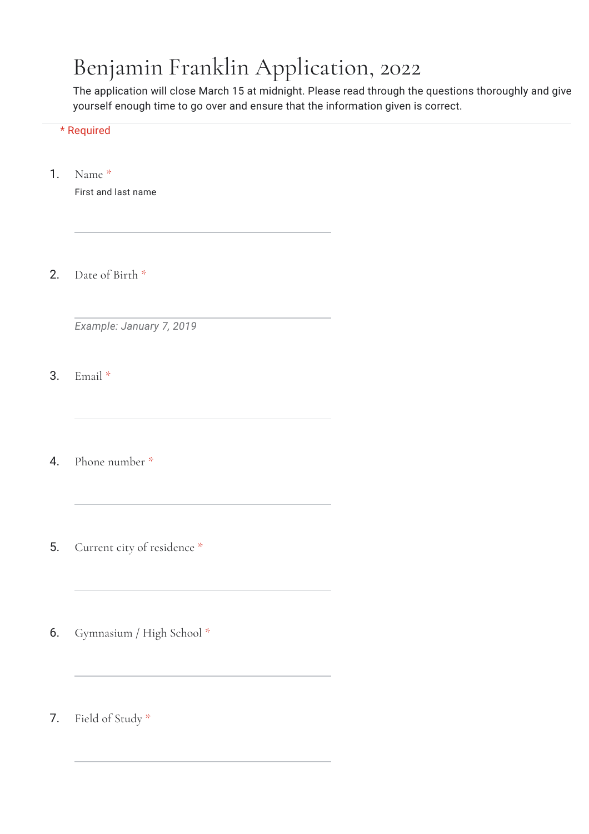## Benjamin Franklin Application, 2022

The application will close March 15 at midnight. Please read through the questions thoroughly and give yourself enough time to go over and ensure that the information given is correct.

## \* Required

1. Name \*

First and last name

2. Date of Birth \*

*Example: January 7, 2019*

3. Email \*

4. Phone number \*

- 5. Current city of residence \*
- 6. Gymnasium / High School \*
- 7. Field of Study \*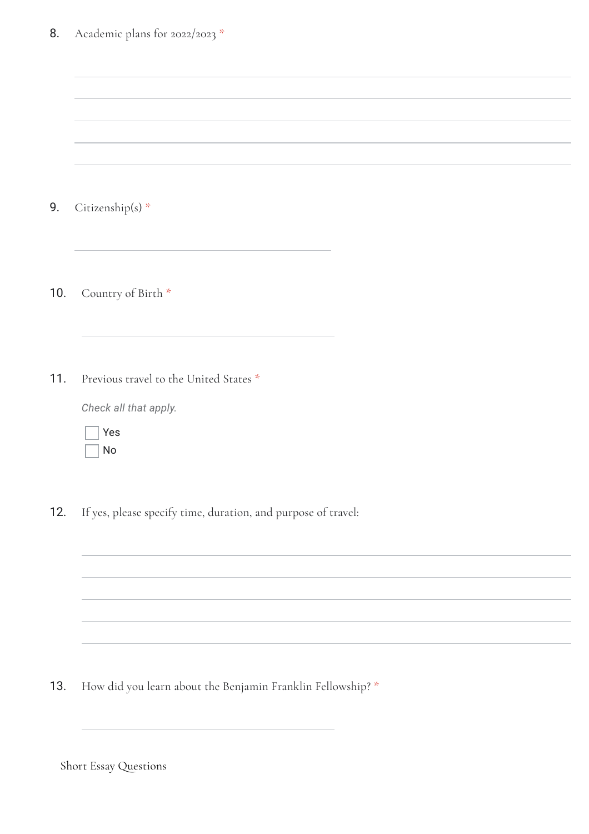| 8.  | Academic plans for 2022/2023 *                                  |
|-----|-----------------------------------------------------------------|
|     |                                                                 |
|     |                                                                 |
| 9.  | Citizenship(s) *                                                |
| 10. | Country of Birth *                                              |
| 11. | Previous travel to the United States *<br>Check all that apply. |
|     | Yes<br><b>No</b>                                                |
| 12. | If yes, please specify time, duration, and purpose of travel:   |
|     |                                                                 |

13. How did you learn about the Benjamin Franklin Fellowship? \*

Short Essay Questions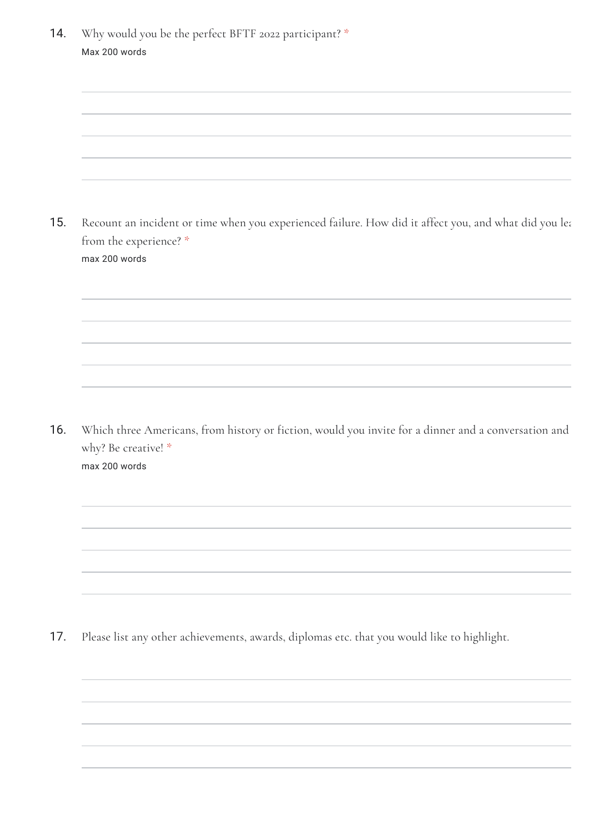| 14. | Why would you be the perfect BFTF 2022 participant? *<br>Max 200 words                                                      |  |
|-----|-----------------------------------------------------------------------------------------------------------------------------|--|
|     |                                                                                                                             |  |
|     |                                                                                                                             |  |
|     |                                                                                                                             |  |
|     |                                                                                                                             |  |
|     |                                                                                                                             |  |
|     |                                                                                                                             |  |
| 15. | Recount an incident or time when you experienced failure. How did it affect you, and what did you lea                       |  |
|     | from the experience? *<br>max 200 words                                                                                     |  |
|     |                                                                                                                             |  |
|     |                                                                                                                             |  |
|     |                                                                                                                             |  |
|     |                                                                                                                             |  |
|     |                                                                                                                             |  |
|     |                                                                                                                             |  |
| 16. |                                                                                                                             |  |
|     | Which three Americans, from history or fiction, would you invite for a dinner and a conversation and<br>why? Be creative! * |  |
|     | max 200 words                                                                                                               |  |
|     |                                                                                                                             |  |
|     |                                                                                                                             |  |

17. Please list any other achievements, awards, diplomas etc. that you would like to highlight.